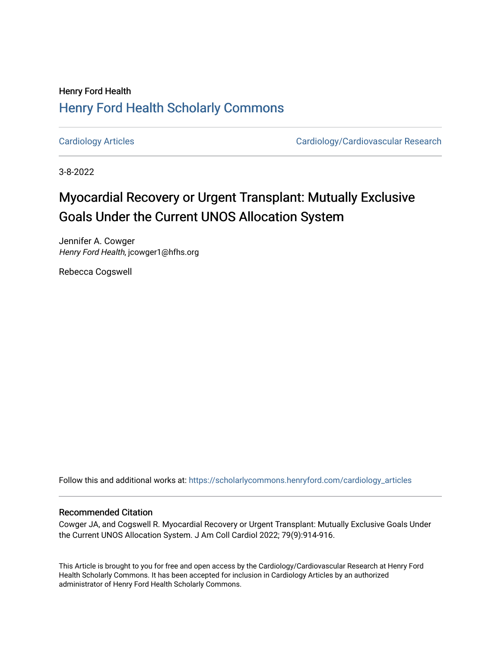## Henry Ford Health [Henry Ford Health Scholarly Commons](https://scholarlycommons.henryford.com/)

[Cardiology Articles](https://scholarlycommons.henryford.com/cardiology_articles) [Cardiology/Cardiovascular Research](https://scholarlycommons.henryford.com/cardiology) 

3-8-2022

# Myocardial Recovery or Urgent Transplant: Mutually Exclusive Goals Under the Current UNOS Allocation System

Jennifer A. Cowger Henry Ford Health, jcowger1@hfhs.org

Rebecca Cogswell

Follow this and additional works at: [https://scholarlycommons.henryford.com/cardiology\\_articles](https://scholarlycommons.henryford.com/cardiology_articles?utm_source=scholarlycommons.henryford.com%2Fcardiology_articles%2F904&utm_medium=PDF&utm_campaign=PDFCoverPages)

## Recommended Citation

Cowger JA, and Cogswell R. Myocardial Recovery or Urgent Transplant: Mutually Exclusive Goals Under the Current UNOS Allocation System. J Am Coll Cardiol 2022; 79(9):914-916.

This Article is brought to you for free and open access by the Cardiology/Cardiovascular Research at Henry Ford Health Scholarly Commons. It has been accepted for inclusion in Cardiology Articles by an authorized administrator of Henry Ford Health Scholarly Commons.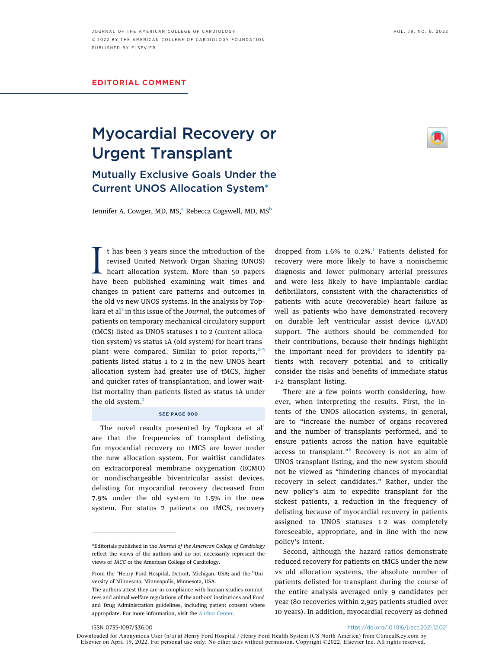### EDITORIAL COMMENT

## Myocardial Recovery or Urgent Transplant Mutually Exclusive Goals Under the

#### Jennifer A. Cowger, MD, MS,<sup>[a](#page-1-1)</sup> Re[b](#page-1-1)ecca Cogswell, MD, MS<sup>b</sup>

Current UNOS Allocation System[\\*](#page-1-0)

I thas been 3 years since the introduction of the<br>revised United Network Organ Sharing (UNOS)<br>heart allocation system. More than 50 papers<br>have been published examining wait times and t has been 3 years since the introduction of the revised United Network Organ Sharing (UNOS) heart allocation system. More than 50 papers changes in patient care patterns and outcomes in the old vs new UNOS systems. In the analysis by Top-kara et al<sup>[1](#page-3-0)</sup> in this issue of the Journal, the outcomes of patients on temporary mechanical circulatory support (tMCS) listed as UNOS statuses 1 to 2 (current allocation system) vs status 1A (old system) for heart transplant were compared. Similar to prior reports, $2-5$ patients listed status 1 to 2 in the new UNOS heart allocation system had greater use of tMCS, higher and quicker rates of transplantation, and lower waitlist mortality than patients listed as status 1A under the old system.<sup>[1](#page-3-0)</sup>

#### SEE PAGE 900

The novel results presented by Topkara et  $al<sup>1</sup>$  $al<sup>1</sup>$  $al<sup>1</sup>$ are that the frequencies of transplant delisting for myocardial recovery on tMCS are lower under the new allocation system. For waitlist candidates on extracorporeal membrane oxygenation (ECMO) or nondischargeable biventricular assist devices, delisting for myocardial recovery decreased from 7.9% under the old system to 1.5% in the new system. For status 2 patients on tMCS, recovery dropped from  $1.6\%$  $1.6\%$  to 0.2%.<sup>1</sup> Patients delisted for recovery were more likely to have a nonischemic diagnosis and lower pulmonary arterial pressures and were less likely to have implantable cardiac defibrillators, consistent with the characteristics of patients with acute (recoverable) heart failure as well as patients who have demonstrated recovery on durable left ventricular assist device (LVAD) support. The authors should be commended for their contributions, because their findings highlight the important need for providers to identify patients with recovery potential and to critically consider the risks and benefits of immediate status 1-2 transplant listing.

There are a few points worth considering, however, when interpreting the results. First, the intents of the UNOS allocation systems, in general, are to "increase the number of organs recovered and the number of transplants performed, and to ensure patients across the nation have equitable access to transplant."<sup>[6](#page-3-2)</sup> Recovery is not an aim of UNOS transplant listing, and the new system should not be viewed as "hindering chances of myocardial recovery in select candidates." Rather, under the new policy's aim to expedite transplant for the sickest patients, a reduction in the frequency of delisting because of myocardial recovery in patients assigned to UNOS statuses 1-2 was completely foreseeable, appropriate, and in line with the new policy's intent.

Second, although the hazard ratios demonstrate reduced recovery for patients on tMCS under the new vs old allocation systems, the absolute number of patients delisted for transplant during the course of the entire analysis averaged only 9 candidates per year (80 recoveries within 2,925 patients studied over 10 years). In addition, myocardial recovery as defined

Downloaded for Anonymous User (n/a) at Henry Ford Hospital / Henry Ford Health System (CS North America) from ClinicalKey.com by<br>Elsevier on April 19, 2022. For personal use only. No other uses without permission. Copyrigh

<span id="page-1-0"></span><sup>\*</sup>Editorials published in the Journal of the American College of Cardiology reflect the views of the authors and do not necessarily represent the views of JACC or the American College of Cardiology.

<span id="page-1-1"></span>From the <sup>a</sup>Henry Ford Hospital, Detroit, Michigan, USA; and the <sup>b</sup>University of Minnesota, Minneapolis, Minnesota, USA.

The authors attest they are in compliance with human studies committees and animal welfare regulations of the authors' institutions and Food and Drug Administration guidelines, including patient consent where appropriate. For more information, visit the [Author Center.](https://www.jacc.org/author-center)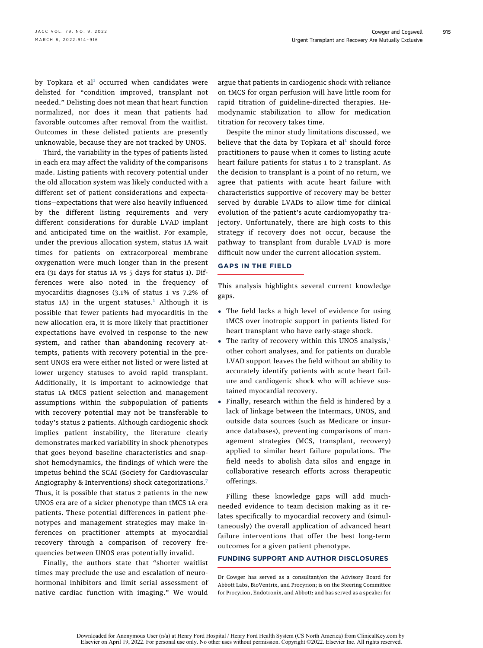by Topkara et al<sup>[1](#page-3-0)</sup> occurred when candidates were delisted for "condition improved, transplant not needed." Delisting does not mean that heart function normalized, nor does it mean that patients had favorable outcomes after removal from the waitlist. Outcomes in these delisted patients are presently unknowable, because they are not tracked by UNOS.

Third, the variability in the types of patients listed in each era may affect the validity of the comparisons made. Listing patients with recovery potential under the old allocation system was likely conducted with a different set of patient considerations and expectations—expectations that were also heavily influenced by the different listing requirements and very different considerations for durable LVAD implant and anticipated time on the waitlist. For example, under the previous allocation system, status 1A wait times for patients on extracorporeal membrane oxygenation were much longer than in the present era (31 days for status 1A vs 5 days for status 1). Differences were also noted in the frequency of myocarditis diagnoses (3.1% of status 1 vs 7.2% of status [1](#page-3-0)A) in the urgent statuses.<sup>1</sup> Although it is possible that fewer patients had myocarditis in the new allocation era, it is more likely that practitioner expectations have evolved in response to the new system, and rather than abandoning recovery attempts, patients with recovery potential in the present UNOS era were either not listed or were listed at lower urgency statuses to avoid rapid transplant. Additionally, it is important to acknowledge that status 1A tMCS patient selection and management assumptions within the subpopulation of patients with recovery potential may not be transferable to today's status 2 patients. Although cardiogenic shock implies patient instability, the literature clearly demonstrates marked variability in shock phenotypes that goes beyond baseline characteristics and snapshot hemodynamics, the findings of which were the impetus behind the SCAI (Society for Cardiovascular Angiography & Interventions) shock categorizations.[7](#page-3-3) Thus, it is possible that status 2 patients in the new UNOS era are of a sicker phenotype than tMCS 1A era patients. These potential differences in patient phenotypes and management strategies may make inferences on practitioner attempts at myocardial recovery through a comparison of recovery frequencies between UNOS eras potentially invalid.

Finally, the authors state that "shorter waitlist times may preclude the use and escalation of neurohormonal inhibitors and limit serial assessment of native cardiac function with imaging." We would argue that patients in cardiogenic shock with reliance on tMCS for organ perfusion will have little room for rapid titration of guideline-directed therapies. Hemodynamic stabilization to allow for medication titration for recovery takes time.

Despite the minor study limitations discussed, we believe that the data by Topkara et  $al<sup>1</sup>$  $al<sup>1</sup>$  $al<sup>1</sup>$  should force practitioners to pause when it comes to listing acute heart failure patients for status 1 to 2 transplant. As the decision to transplant is a point of no return, we agree that patients with acute heart failure with characteristics supportive of recovery may be better served by durable LVADs to allow time for clinical evolution of the patient's acute cardiomyopathy trajectory. Unfortunately, there are high costs to this strategy if recovery does not occur, because the pathway to transplant from durable LVAD is more difficult now under the current allocation system.

### GAPS IN THE FIELD

This analysis highlights several current knowledge gaps.

- The field lacks a high level of evidence for using tMCS over inotropic support in patients listed for heart transplant who have early-stage shock.
- The rarity of recovery within this UNOS analysis, $<sup>1</sup>$  $<sup>1</sup>$  $<sup>1</sup>$ </sup> other cohort analyses, and for patients on durable LVAD support leaves the field without an ability to accurately identify patients with acute heart failure and cardiogenic shock who will achieve sustained myocardial recovery.
- Finally, research within the field is hindered by a lack of linkage between the Intermacs, UNOS, and outside data sources (such as Medicare or insurance databases), preventing comparisons of management strategies (MCS, transplant, recovery) applied to similar heart failure populations. The field needs to abolish data silos and engage in collaborative research efforts across therapeutic offerings.

Filling these knowledge gaps will add muchneeded evidence to team decision making as it relates specifically to myocardial recovery and (simultaneously) the overall application of advanced heart failure interventions that offer the best long-term outcomes for a given patient phenotype.

## FUNDING SUPPORT AND AUTHOR DISCLOSURES

Dr Cowger has served as a consultant/on the Advisory Board for Abbott Labs, BioVentrix, and Procyrion; is on the Steering Committee for Procyrion, Endotronix, and Abbott; and has served as a speaker for